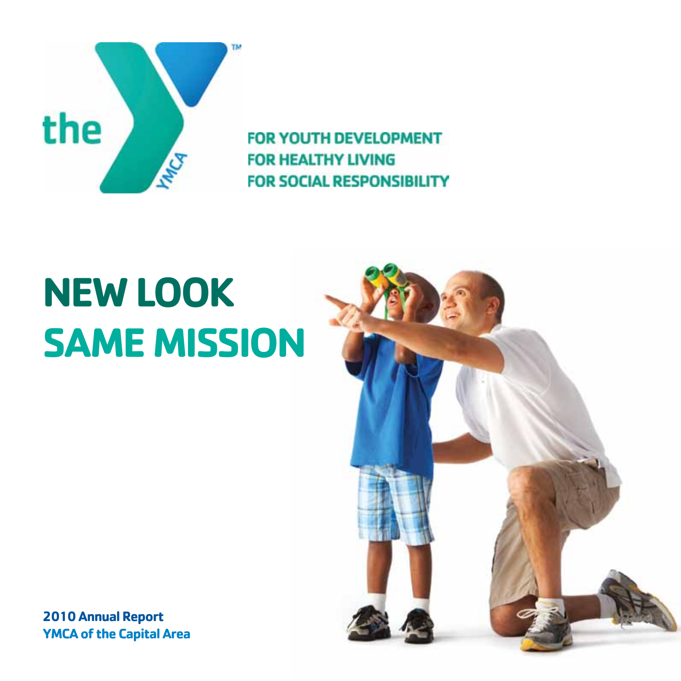

# **NEW LOOK SAME MISSION**

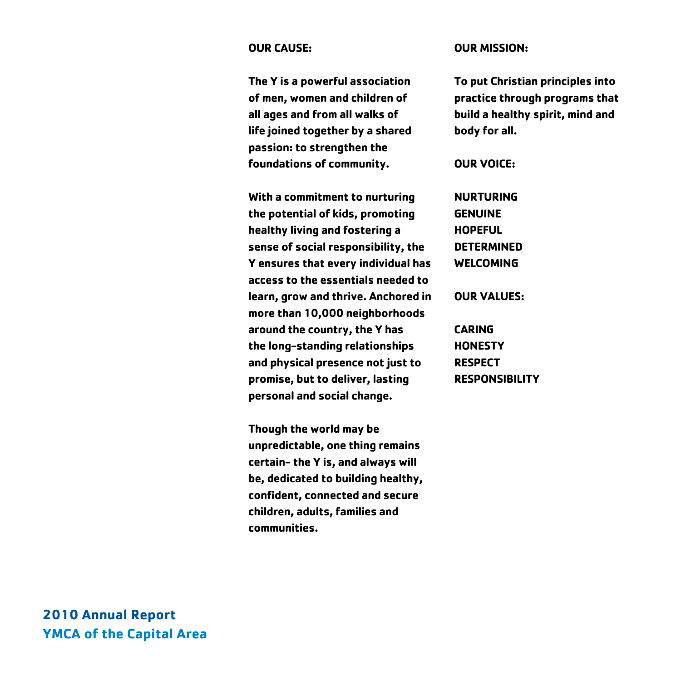#### **OUR CAUSE:**

**The Y is a powerful association of men, women and children of all ages and from all walks of life joined together by a shared passion: to strengthen the foundations of community.** 

**With a commitment to nurturing the potential of kids, promoting healthy living and fostering a sense of social responsibility, the Y ensures that every individual has access to the essentials needed to learn, grow and thrive. Anchored in more than 10,000 neighborhoods around the country, the Y has the long-standing relationships and physical presence not just to promise, but to deliver, lasting personal and social change.** 

**Though the world may be unpredictable, one thing remains certain- the Y is, and always will be, dedicated to building healthy, confident, connected and secure children, adults, families and communities.** 

#### **OUR MISSION:**

**To put Christian principles into practice through programs that build a healthy spirit, mind and body for all.**

**OUR VOICE:**

**NURTURING GENUINE HOPEFUL DETERMINED WELCOMING** 

**OUR VALUES:**

**CARING HONESTY RESPECT RESPONSIBILITY**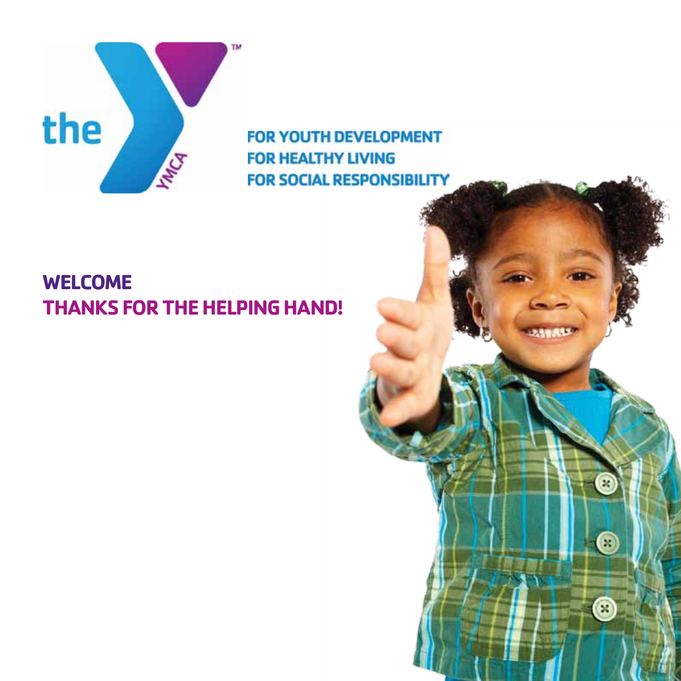

# **WELCOME THANKS FOR THE HELPING HAND!**

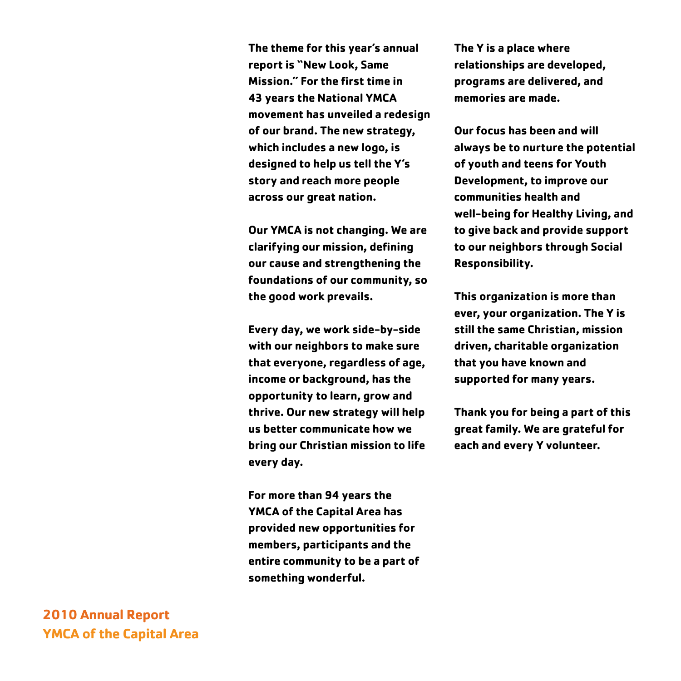**The theme for this year's annual report is "New Look, Same Mission." For the first time in 43 years the National YMCA movement has unveiled a redesign of our brand. The new strategy, which includes a new logo, is designed to help us tell the Y's story and reach more people across our great nation.** 

**Our YMCA is not changing. We are clarifying our mission, defining our cause and strengthening the foundations of our community, so the good work prevails.** 

**Every day, we work side-by-side with our neighbors to make sure that everyone, regardless of age, income or background, has the opportunity to learn, grow and thrive. Our new strategy will help us better communicate how we bring our Christian mission to life every day.**

**For more than 94 years the YMCA of the Capital Area has provided new opportunities for members, participants and the entire community to be a part of something wonderful.**

**The Y is a place where relationships are developed, programs are delivered, and memories are made.** 

**Our focus has been and will always be to nurture the potential of youth and teens for Youth Development, to improve our communities health and well-being for Healthy Living, and to give back and provide support to our neighbors through Social Responsibility.** 

**This organization is more than ever, your organization. The Y is still the same Christian, mission driven, charitable organization that you have known and supported for many years.** 

**Thank you for being a part of this great family. We are grateful for each and every Y volunteer.**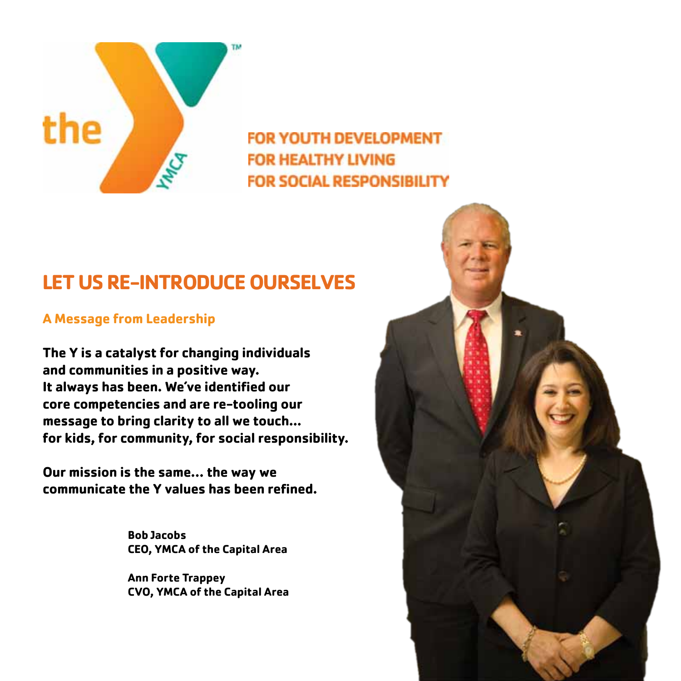

# **LET US RE-INTRODUCE OURSELVES**

### **A Message from Leadership**

**The Y is a catalyst for changing individuals and communities in a positive way. It always has been. We've identified our core competencies and are re-tooling our message to bring clarity to all we touch... for kids, for community, for social responsibility.**

**Our mission is the same… the way we communicate the Y values has been refined.**

> **Bob Jacobs CEO, YMCA of the Capital Area**

**Ann Forte Trappey CVO, YMCA of the Capital Area**

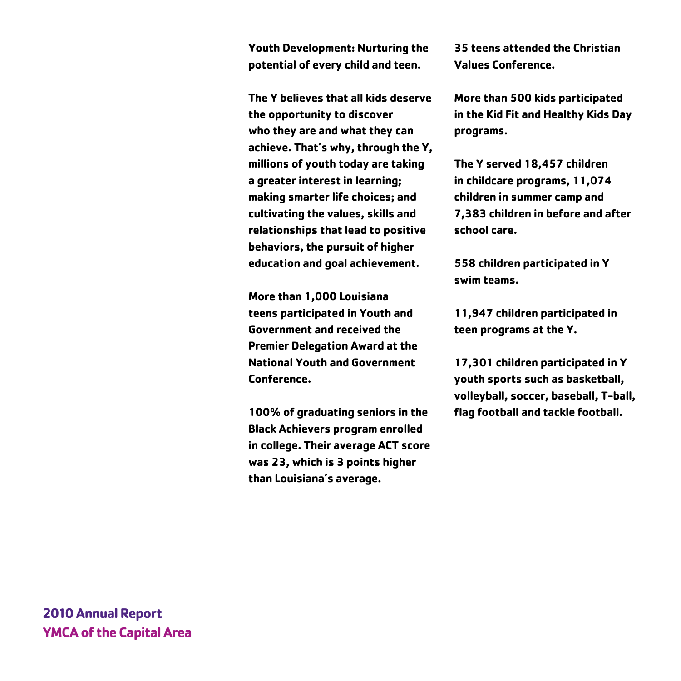**Youth Development: Nurturing the potential of every child and teen.** 

**The Y believes that all kids deserve the opportunity to discover who they are and what they can achieve. That's why, through the Y, millions of youth today are taking a greater interest in learning; making smarter life choices; and cultivating the values, skills and relationships that lead to positive behaviors, the pursuit of higher education and goal achievement.**

**More than 1,000 Louisiana teens participated in Youth and Government and received the Premier Delegation Award at the National Youth and Government Conference.**

**100% of graduating seniors in the Black Achievers program enrolled in college. Their average ACT score was 23, which is 3 points higher than Louisiana's average.**

**35 teens attended the Christian Values Conference.**

**More than 500 kids participated in the Kid Fit and Healthy Kids Day programs.**

**The Y served 18,457 children in childcare programs, 11,074 children in summer camp and 7,383 children in before and after school care.** 

**558 children participated in Y swim teams.**

**11,947 children participated in teen programs at the Y.**

**17,301 children participated in Y youth sports such as basketball, volleyball, soccer, baseball, T-ball, flag football and tackle football.**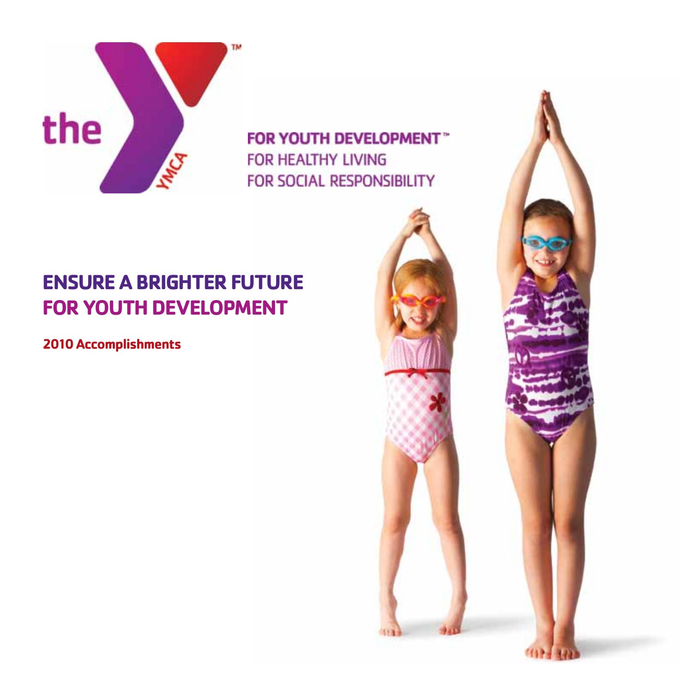

# **ENSURE A BRIGHTER FUTURE FOR YOUTH DEVELOPMENT**

**2010 Accomplishments**

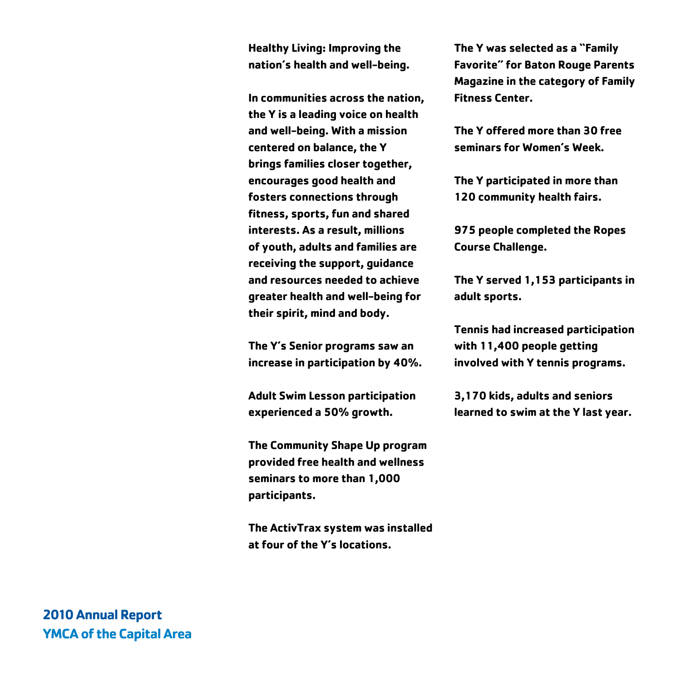**Healthy Living: Improving the nation's health and well-being.**

**In communities across the nation, the Y is a leading voice on health and well-being. With a mission centered on balance, the Y brings families closer together, encourages good health and fosters connections through fitness, sports, fun and shared interests. As a result, millions of youth, adults and families are receiving the support, guidance and resources needed to achieve greater health and well-being for their spirit, mind and body.** 

**The Y's Senior programs saw an increase in participation by 40%.** 

**Adult Swim Lesson participation experienced a 50% growth.**

**The Community Shape Up program provided free health and wellness seminars to more than 1,000 participants.**

**The ActivTrax system was installed at four of the Y's locations.**

**The Y was selected as a "Family Favorite" for Baton Rouge Parents Magazine in the category of Family Fitness Center.**

**The Y offered more than 30 free seminars for Women's Week.**

**The Y participated in more than 120 community health fairs.** 

**975 people completed the Ropes Course Challenge.**

**The Y served 1,153 participants in adult sports.**

**Tennis had increased participation with 11,400 people getting involved with Y tennis programs.**

**3,170 kids, adults and seniors learned to swim at the Y last year.**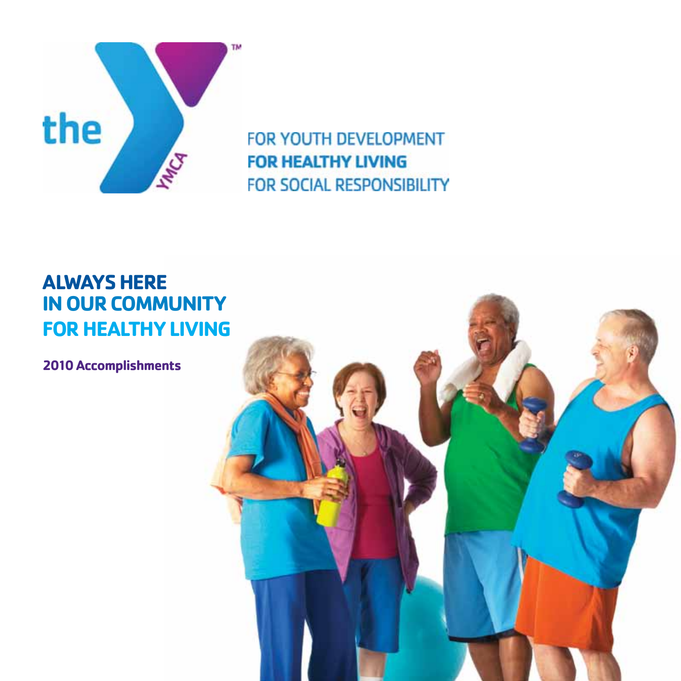

### **ALWAYS HERE IN OUR COMMUNITY FOR HEALTHY LIVING**

**2010 Accomplishments**

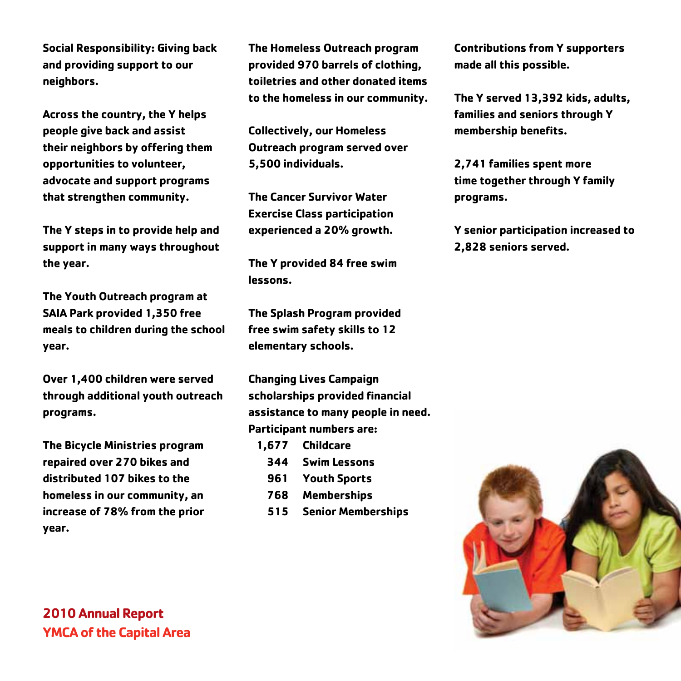**Social Responsibility: Giving back and providing support to our neighbors.**

**Across the country, the Y helps people give back and assist their neighbors by offering them opportunities to volunteer, advocate and support programs that strengthen community.** 

**The Y steps in to provide help and support in many ways throughout the year.**

**The Youth Outreach program at SAIA Park provided 1,350 free meals to children during the school year.**

**Over 1,400 children were served through additional youth outreach programs.** 

**The Bicycle Ministries program repaired over 270 bikes and distributed 107 bikes to the homeless in our community, an increase of 78% from the prior year.**

**The Homeless Outreach program provided 970 barrels of clothing, toiletries and other donated items to the homeless in our community.**

**Collectively, our Homeless Outreach program served over 5,500 individuals.**

**The Cancer Survivor Water Exercise Class participation experienced a 20% growth.**

**The Y provided 84 free swim lessons.**

**The Splash Program provided free swim safety skills to 12 elementary schools.**

**Changing Lives Campaign scholarships provided financial assistance to many people in need. Participant numbers are:** 

- **1,677 Childcare**
	- **344 Swim Lessons**
	- **961 Youth Sports**
	- **768 Memberships**
	- **515 Senior Memberships**

**Contributions from Y supporters made all this possible.**

**The Y served 13,392 kids, adults, families and seniors through Y membership benefits.**

**2,741 families spent more time together through Y family programs.**

**Y senior participation increased to 2,828 seniors served.** 

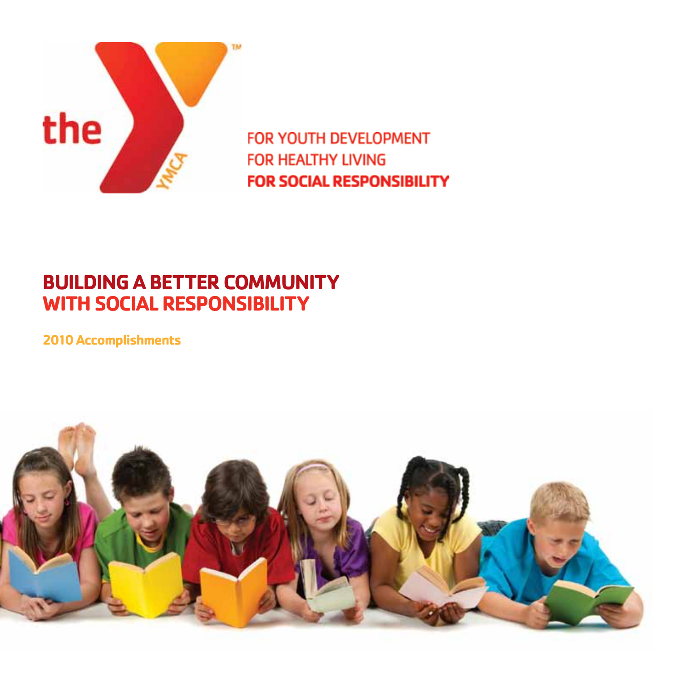

### **BUILDING A BETTER COMMUNITY WITH SOCIAL RESPONSIBILITY**

**2010 Accomplishments**

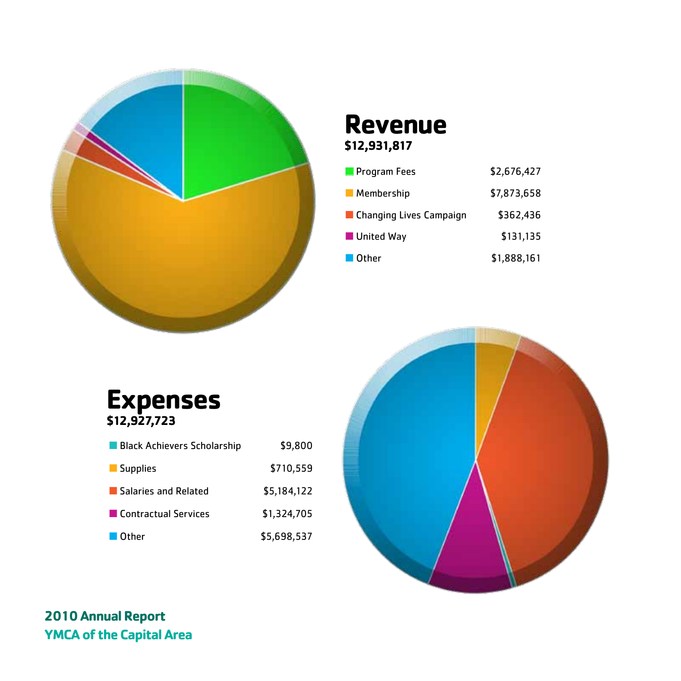

### **Revenue \$12,931,817**

| <b>Program Fees</b><br>L. | \$2,676,427 |
|---------------------------|-------------|
| Membership                | \$7,873,658 |
| ■ Changing Lives Campaign | \$362,436   |
| United Way                | \$131,135   |
| ■ Other                   | \$1,888,161 |

**Expenses \$12,927,723**

| ■ Black Achievers Scholarship | \$9,800     |
|-------------------------------|-------------|
| Supplies                      | \$710,559   |
| Salaries and Related          | \$5,184,122 |
| ■ Contractual Services        | \$1,324,705 |
| <b>Other</b>                  | \$5,698,537 |

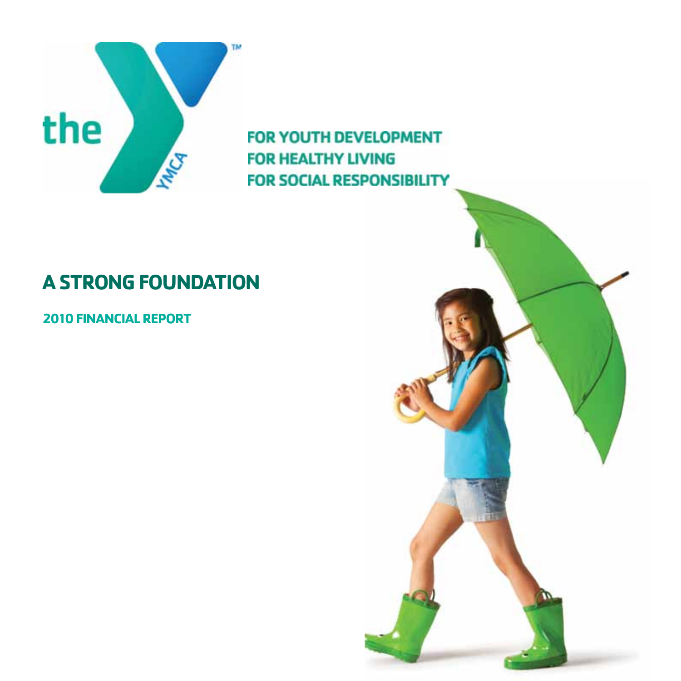

# **A STRONG FOUNDATION**

**2010 FINANCIAL REPORT**

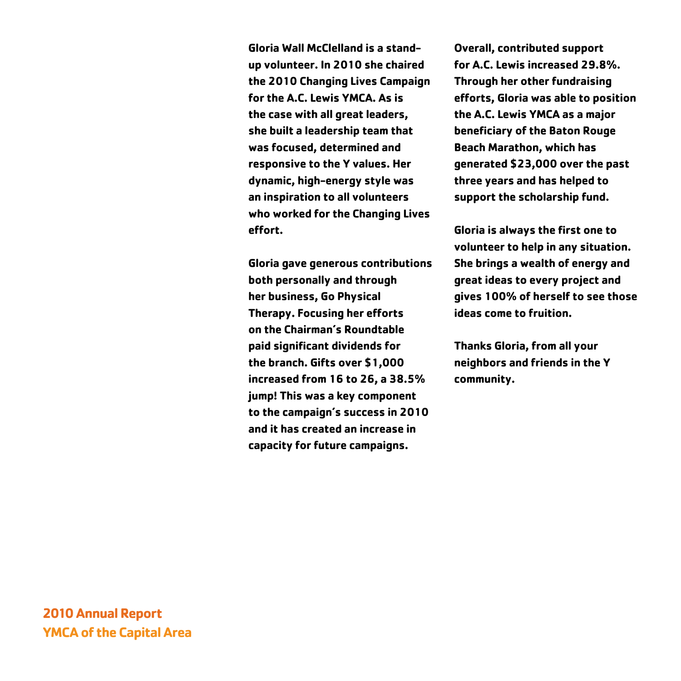**Gloria Wall McClelland is a standup volunteer. In 2010 she chaired the 2010 Changing Lives Campaign for the A.C. Lewis YMCA. As is the case with all great leaders, she built a leadership team that was focused, determined and responsive to the Y values. Her dynamic, high-energy style was an inspiration to all volunteers who worked for the Changing Lives effort.**

**Gloria gave generous contributions both personally and through her business, Go Physical Therapy. Focusing her efforts on the Chairman's Roundtable paid significant dividends for the branch. Gifts over \$1,000 increased from 16 to 26, a 38.5% jump! This was a key component to the campaign's success in 2010 and it has created an increase in capacity for future campaigns.** 

**Overall, contributed support for A.C. Lewis increased 29.8%. Through her other fundraising efforts, Gloria was able to position the A.C. Lewis YMCA as a major beneficiary of the Baton Rouge Beach Marathon, which has generated \$23,000 over the past three years and has helped to support the scholarship fund.**

**Gloria is always the first one to volunteer to help in any situation. She brings a wealth of energy and great ideas to every project and gives 100% of herself to see those ideas come to fruition.**

**Thanks Gloria, from all your neighbors and friends in the Y community.**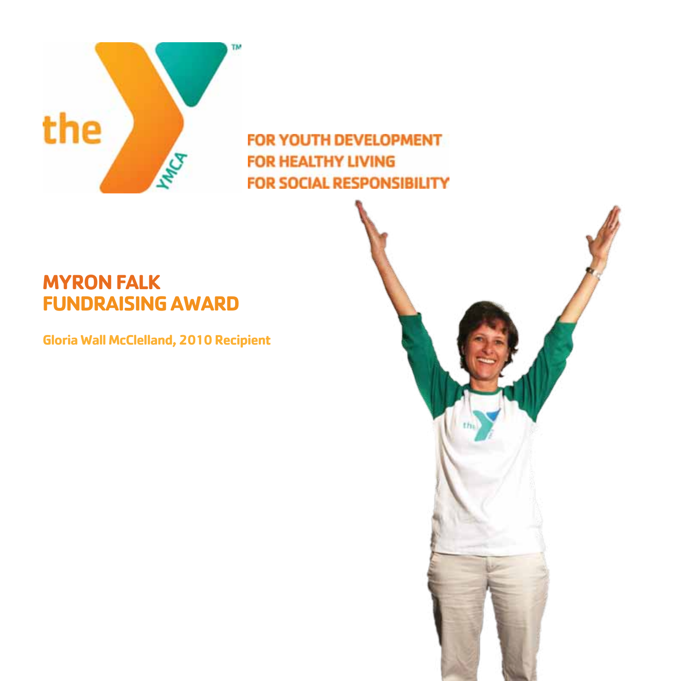

### **MYRON FALK FUNDRAISING AWARD**

**Gloria Wall McClelland, 2010 Recipient** 

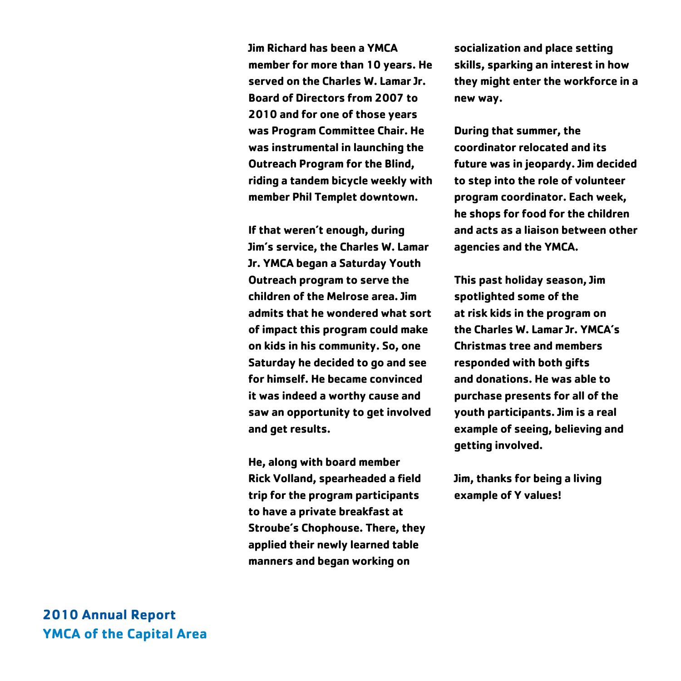**Jim Richard has been a YMCA member for more than 10 years. He served on the Charles W. Lamar Jr. Board of Directors from 2007 to 2010 and for one of those years was Program Committee Chair. He was instrumental in launching the Outreach Program for the Blind, riding a tandem bicycle weekly with member Phil Templet downtown.**

**If that weren't enough, during Jim's service, the Charles W. Lamar Jr. YMCA began a Saturday Youth Outreach program to serve the children of the Melrose area. Jim admits that he wondered what sort of impact this program could make on kids in his community. So, one Saturday he decided to go and see for himself. He became convinced it was indeed a worthy cause and saw an opportunity to get involved and get results.** 

**He, along with board member Rick Volland, spearheaded a field trip for the program participants to have a private breakfast at Stroube's Chophouse. There, they applied their newly learned table manners and began working on** 

**socialization and place setting skills, sparking an interest in how they might enter the workforce in a new way.** 

**During that summer, the coordinator relocated and its future was in jeopardy. Jim decided to step into the role of volunteer program coordinator. Each week, he shops for food for the children and acts as a liaison between other agencies and the YMCA.** 

**This past holiday season, Jim spotlighted some of the at risk kids in the program on the Charles W. Lamar Jr. YMCA's Christmas tree and members responded with both gifts and donations. He was able to purchase presents for all of the youth participants. Jim is a real example of seeing, believing and getting involved.**

**Jim, thanks for being a living example of Y values!**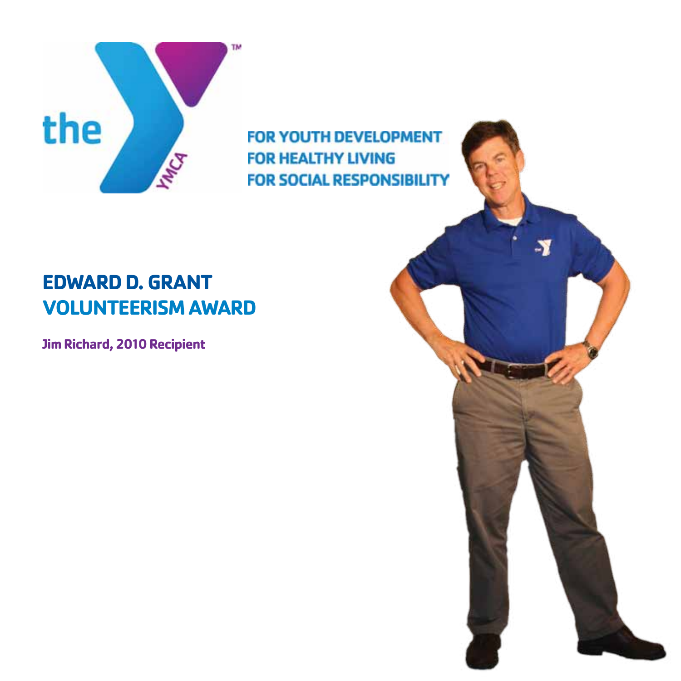

## **EDWARD D. GRANT VOLUNTEERISM AWARD**

**Jim Richard, 2010 Recipient**

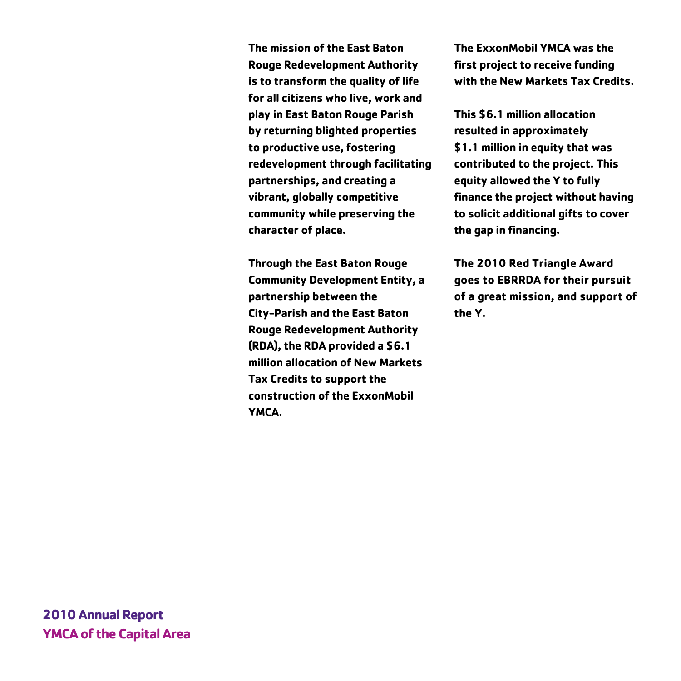**The mission of the East Baton Rouge Redevelopment Authority is to transform the quality of life for all citizens who live, work and play in East Baton Rouge Parish by returning blighted properties to productive use, fostering redevelopment through facilitating partnerships, and creating a vibrant, globally competitive community while preserving the character of place.**

**Through the East Baton Rouge Community Development Entity, a partnership between the City-Parish and the East Baton Rouge Redevelopment Authority (RDA), the RDA provided a \$6.1 million allocation of New Markets Tax Credits to support the construction of the ExxonMobil YMCA.** 

**The ExxonMobil YMCA was the first project to receive funding with the New Markets Tax Credits.**

**This \$6.1 million allocation resulted in approximately \$1.1 million in equity that was contributed to the project. This equity allowed the Y to fully finance the project without having to solicit additional gifts to cover the gap in financing.**

**The 2010 Red Triangle Award goes to EBRRDA for their pursuit of a great mission, and support of the Y.**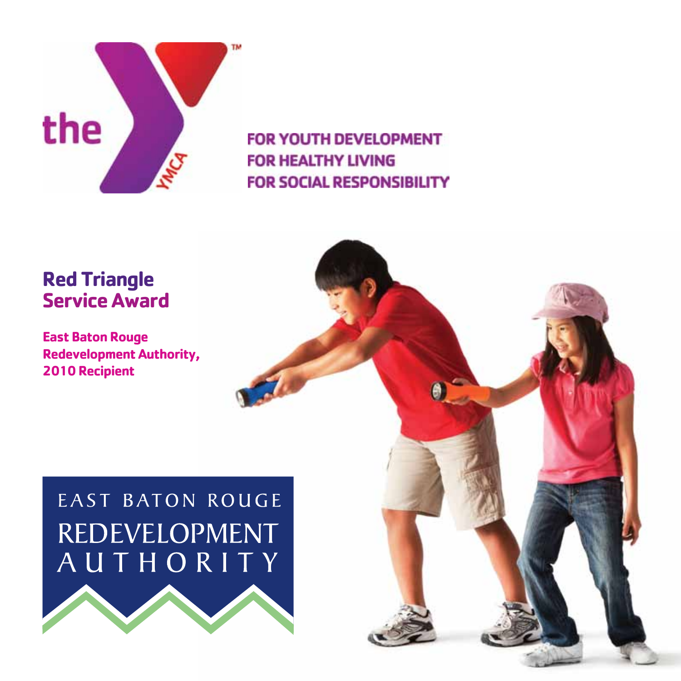

### **Red Triangle Service Award**

**East Baton Rouge Redevelopment Authority, 2010 Recipient**

# EAST BATON ROUGE REDEVELOPMENT AUTHORITY



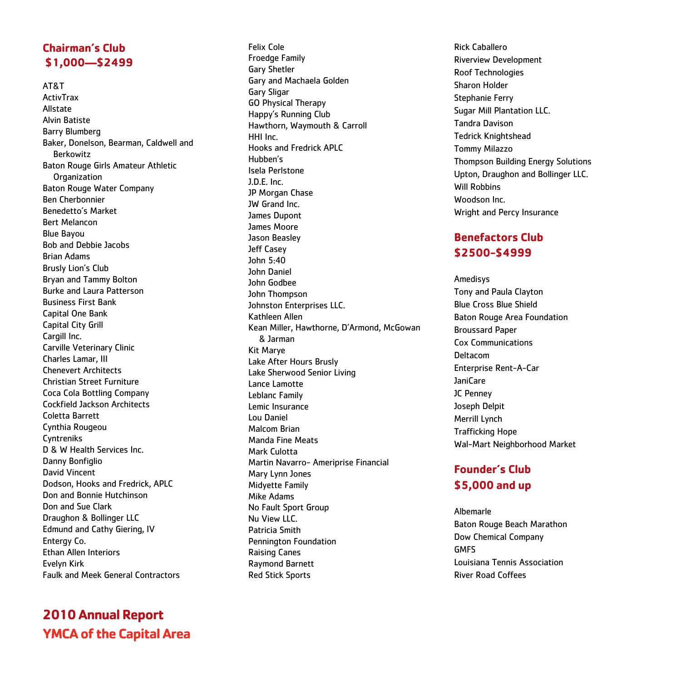### **Chairman's Club \$1,000—\$2499**

AT&T ActivTrax Allstate Alvin Batiste Barry Blumberg Baker, Donelson, Bearman, Caldwell and Berkowitz Baton Rouge Girls Amateur Athletic **Organization** Baton Rouge Water Company Ben Cherbonnier Benedetto's Market Bert Melancon Blue Bayou Bob and Debbie Jacobs Brian Adams Brusly Lion's Club Bryan and Tammy Bolton Burke and Laura Patterson Business First Bank Capital One Bank Capital City Grill Cargill Inc. Carville Veterinary Clinic Charles Lamar, III Chenevert Architects Christian Street Furniture Coca Cola Bottling Company Cockfield Jackson Architects Coletta Barrett Cynthia Rougeou Cyntreniks D & W Health Services Inc. Danny Bonfiglio David Vincent Dodson, Hooks and Fredrick, APLC Don and Bonnie Hutchinson Don and Sue Clark Draughon & Bollinger LLC Edmund and Cathy Giering, IV Entergy Co. Ethan Allen Interiors Evelyn Kirk Faulk and Meek General Contractors

### **2010 Annual Report YMCA of the Capital Area**

Felix Cole Froedge Family Gary Shetler Gary and Machaela Golden Gary Sligar GO Physical Therapy Happy's Running Club Hawthorn, Waymouth & Carroll HHI Inc. Hooks and Fredrick APLC Hubben's Isela Perlstone J.D.E. Inc. JP Morgan Chase JW Grand Inc. James Dupont James Moore Jason Beasley Jeff Casey John 5:40 John Daniel John Godbee John Thompson Johnston Enterprises LLC. Kathleen Allen Kean Miller, Hawthorne, D'Armond, McGowan & Jarman Kit Marye Lake After Hours Brusly Lake Sherwood Senior Living Lance Lamotte Leblanc Family Lemic Insurance Lou Daniel Malcom Brian Manda Fine Meats Mark Culotta Martin Navarro- Ameriprise Financial Mary Lynn Jones Midyette Family Mike Adams No Fault Sport Group Nu View LLC. Patricia Smith Pennington Foundation Raising Canes Raymond Barnett Red Stick Sports

Rick Caballero Riverview Development Roof Technologies Sharon Holder Stephanie Ferry Sugar Mill Plantation LLC. Tandra Davison Tedrick Knightshead Tommy Milazzo Thompson Building Energy Solutions Upton, Draughon and Bollinger LLC. Will Robbins Woodson Inc. Wright and Percy Insurance

### **Benefactors Club \$2500-\$4999**

Amedisys Tony and Paula Clayton Blue Cross Blue Shield Baton Rouge Area Foundation Broussard Paper Cox Communications Deltacom Enterprise Rent-A-Car JaniCare JC Penney Joseph Delpit Merrill Lynch Trafficking Hope Wal-Mart Neighborhood Market

### **Founder's Club \$5,000 and up**

Albemarle Baton Rouge Beach Marathon Dow Chemical Company GMFS Louisiana Tennis Association River Road Coffees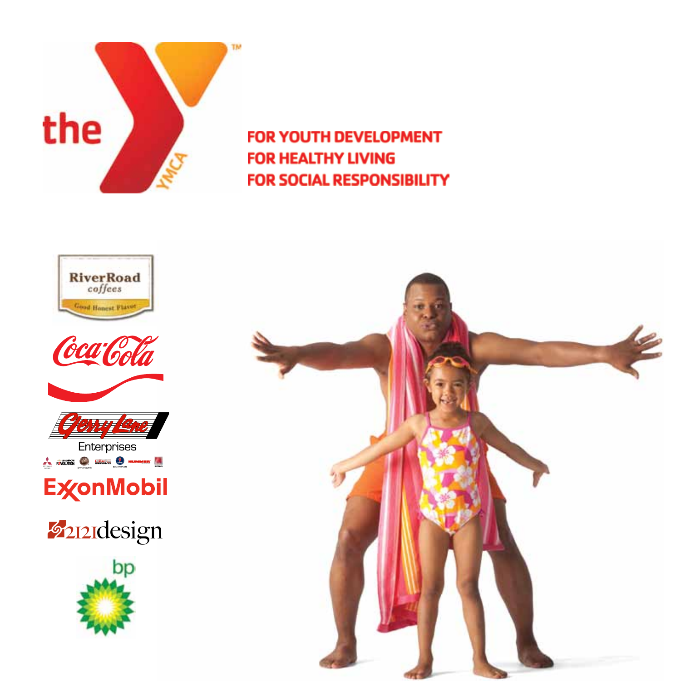



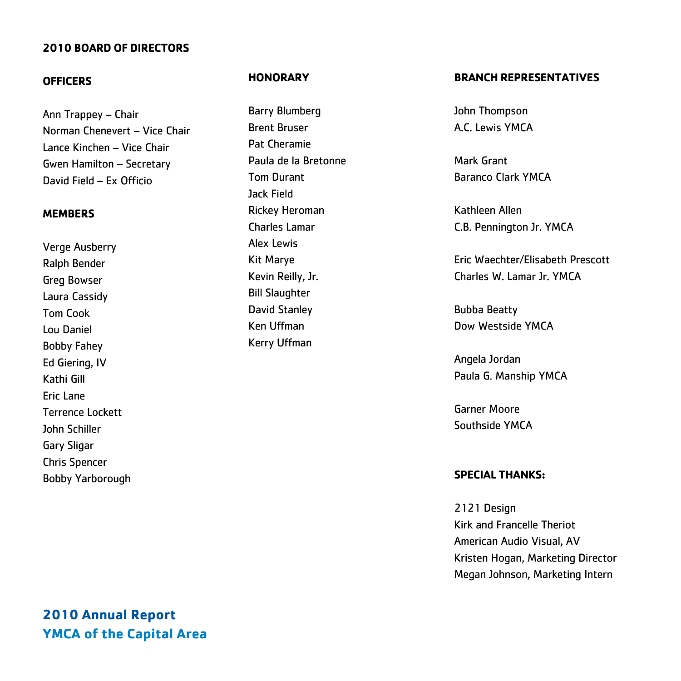#### **2010 BOARD OF DIRECTORS**

#### **OFFICERS**

Ann Trappey – Chair Norman Chenevert – Vice Chair Lance Kinchen – Vice Chair Gwen Hamilton – Secretary David Field – Ex Officio

#### **MEMBERS**

Verge Ausberry Ralph Bender Greg Bowser Laura Cassidy Tom Cook Lou Daniel Bobby Fahey Ed Giering, IV Kathi Gill Eric Lane Terrence Lockett John Schiller Gary Sligar Chris Spencer Bobby Yarborough

#### **HONORARY**

Barry Blumberg Brent Bruser Pat Cheramie Paula de la Bretonne Tom Durant Jack Field Rickey Heroman Charles Lamar Alex Lewis Kit Marye Kevin Reilly, Jr. Bill Slaughter David Stanley Ken Uffman Kerry Uffman

#### **BRANCH REPRESENTATIVES**

John Thompson A.C. Lewis YMCA

Mark Grant Baranco Clark YMCA

Kathleen Allen C.B. Pennington Jr. YMCA

Eric Waechter/Elisabeth Prescott Charles W. Lamar Jr. YMCA

Bubba Beatty Dow Westside YMCA

Angela Jordan Paula G. Manship YMCA

Garner Moore Southside YMCA

#### **SPECIAL THANKS:**

2121 Design Kirk and Francelle Theriot American Audio Visual, AV Kristen Hogan, Marketing Director Megan Johnson, Marketing Intern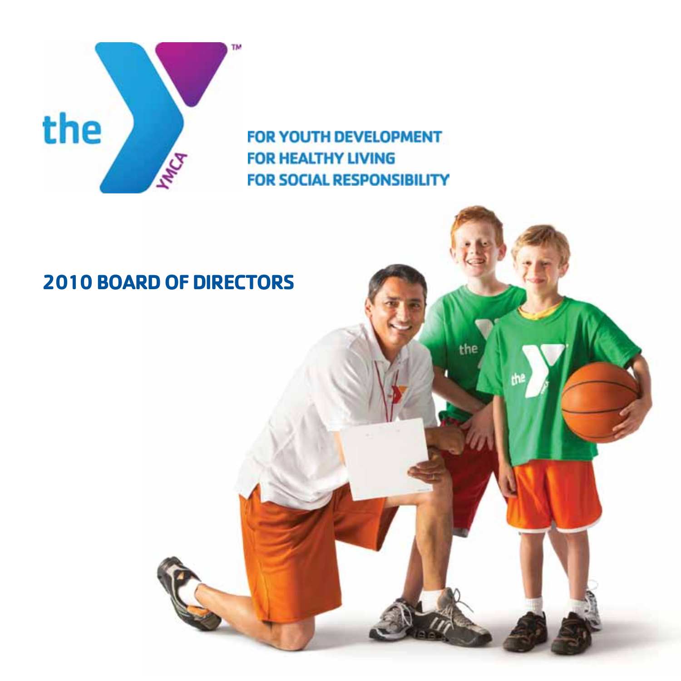

the

# **2010 BOARD OF DIRECTORS**